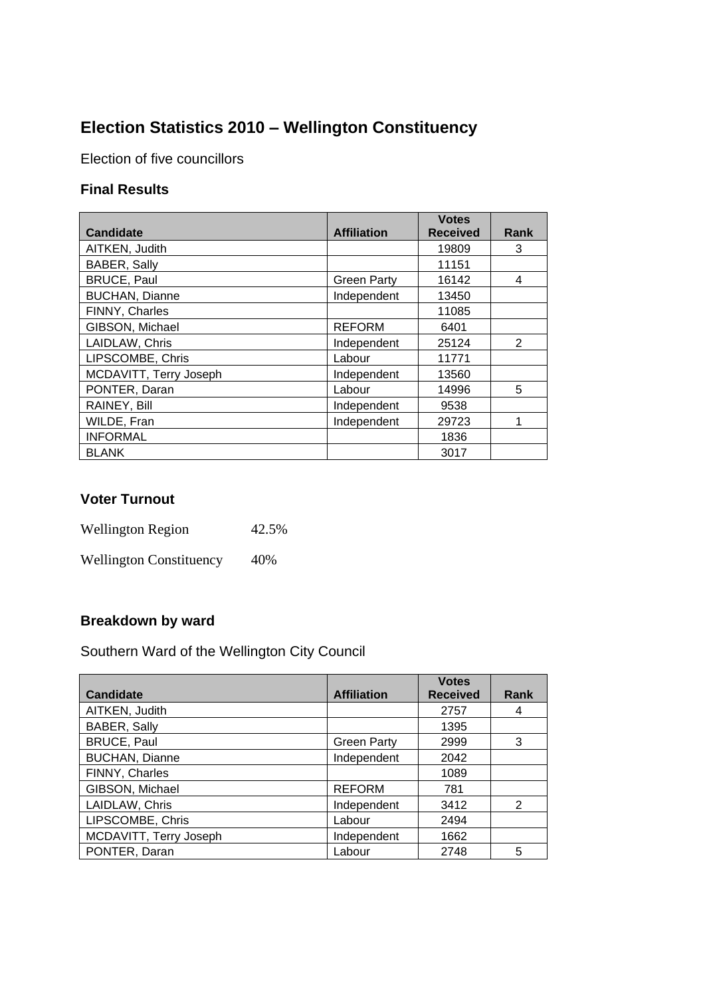# **Election Statistics 2010 – Wellington Constituency**

Election of five councillors

### **Final Results**

| <b>Candidate</b>       | <b>Affiliation</b> | <b>Votes</b><br><b>Received</b> | Rank |
|------------------------|--------------------|---------------------------------|------|
|                        |                    |                                 |      |
| AITKEN, Judith         |                    | 19809                           | 3    |
| BABER, Sally           |                    | 11151                           |      |
| <b>BRUCE, Paul</b>     | <b>Green Party</b> | 16142                           | 4    |
| <b>BUCHAN, Dianne</b>  | Independent        | 13450                           |      |
| FINNY, Charles         |                    | 11085                           |      |
| GIBSON, Michael        | <b>REFORM</b>      | 6401                            |      |
| LAIDLAW, Chris         | Independent        | 25124                           | 2    |
| LIPSCOMBE, Chris       | Labour             | 11771                           |      |
| MCDAVITT, Terry Joseph | Independent        | 13560                           |      |
| PONTER, Daran          | Labour             | 14996                           | 5    |
| RAINEY, Bill           | Independent        | 9538                            |      |
| WILDE, Fran            | Independent        | 29723                           | 1    |
| <b>INFORMAL</b>        |                    | 1836                            |      |
| <b>BLANK</b>           |                    | 3017                            |      |

#### **Voter Turnout**

Wellington Region 42.5%

Wellington Constituency 40%

### **Breakdown by ward**

Southern Ward of the Wellington City Council

|                        |                    | <b>Votes</b>    |             |
|------------------------|--------------------|-----------------|-------------|
| <b>Candidate</b>       | <b>Affiliation</b> | <b>Received</b> | <b>Rank</b> |
| AITKEN, Judith         |                    | 2757            | 4           |
| <b>BABER, Sally</b>    |                    | 1395            |             |
| <b>BRUCE, Paul</b>     | <b>Green Party</b> | 2999            | 3           |
| <b>BUCHAN, Dianne</b>  | Independent        | 2042            |             |
| FINNY, Charles         |                    | 1089            |             |
| GIBSON, Michael        | <b>REFORM</b>      | 781             |             |
| LAIDLAW, Chris         | Independent        | 3412            | 2           |
| LIPSCOMBE, Chris       | Labour             | 2494            |             |
| MCDAVITT, Terry Joseph | Independent        | 1662            |             |
| PONTER, Daran          | Labour             | 2748            | 5           |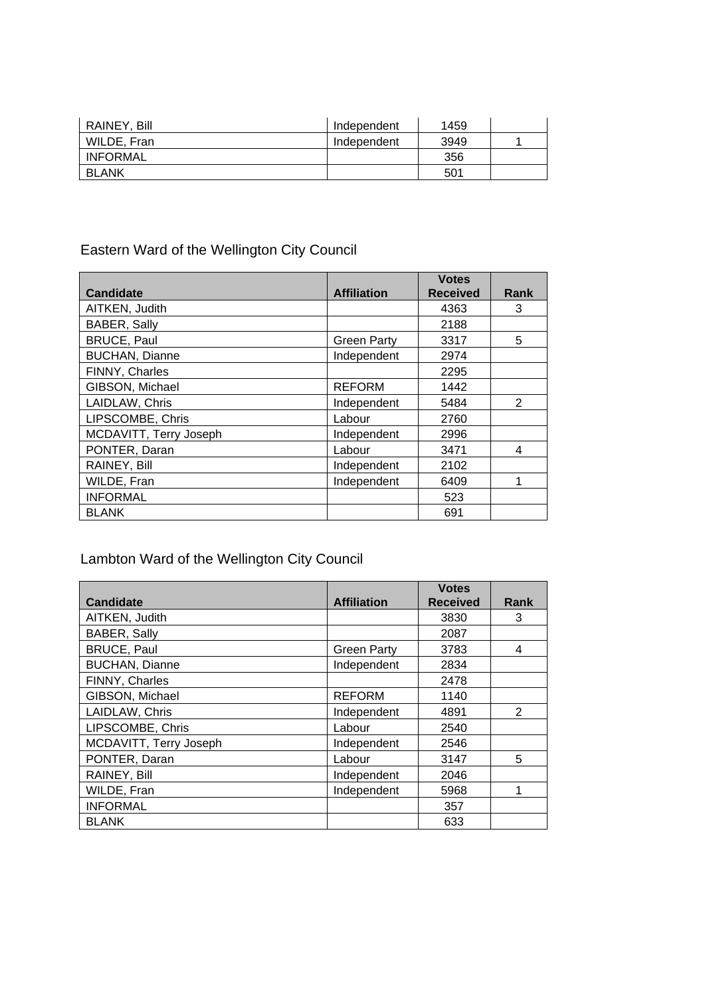| RAINEY, Bill    | Independent | 1459 |  |
|-----------------|-------------|------|--|
| WILDE, Fran     | Independent | 3949 |  |
| <b>INFORMAL</b> |             | 356  |  |
| <b>BLANK</b>    |             | 501  |  |

## Eastern Ward of the Wellington City Council

|                        |                    | <b>Votes</b>    |               |
|------------------------|--------------------|-----------------|---------------|
| <b>Candidate</b>       | <b>Affiliation</b> | <b>Received</b> | Rank          |
| AITKEN, Judith         |                    | 4363            | 3             |
| BABER, Sally           |                    | 2188            |               |
| <b>BRUCE, Paul</b>     | <b>Green Party</b> | 3317            | 5             |
| <b>BUCHAN, Dianne</b>  | Independent        | 2974            |               |
| FINNY, Charles         |                    | 2295            |               |
| GIBSON, Michael        | <b>REFORM</b>      | 1442            |               |
| LAIDLAW, Chris         | Independent        | 5484            | $\mathcal{P}$ |
| LIPSCOMBE, Chris       | Labour             | 2760            |               |
| MCDAVITT, Terry Joseph | Independent        | 2996            |               |
| PONTER, Daran          | Labour             | 3471            | 4             |
| RAINEY, Bill           | Independent        | 2102            |               |
| WILDE, Fran            | Independent        | 6409            |               |
| <b>INFORMAL</b>        |                    | 523             |               |
| <b>BLANK</b>           |                    | 691             |               |

# Lambton Ward of the Wellington City Council

|                        |                    | <b>Votes</b>    |                |
|------------------------|--------------------|-----------------|----------------|
| <b>Candidate</b>       | <b>Affiliation</b> | <b>Received</b> | Rank           |
| AITKEN, Judith         |                    | 3830            | 3              |
| BABER, Sally           |                    | 2087            |                |
| <b>BRUCE, Paul</b>     | <b>Green Party</b> | 3783            | 4              |
| <b>BUCHAN, Dianne</b>  | Independent        | 2834            |                |
| FINNY, Charles         |                    | 2478            |                |
| GIBSON, Michael        | <b>REFORM</b>      | 1140            |                |
| LAIDLAW, Chris         | Independent        | 4891            | $\overline{2}$ |
| LIPSCOMBE, Chris       | Labour             | 2540            |                |
| MCDAVITT, Terry Joseph | Independent        | 2546            |                |
| PONTER, Daran          | Labour             | 3147            | 5              |
| RAINEY, Bill           | Independent        | 2046            |                |
| WILDE, Fran            | Independent        | 5968            | 1              |
| <b>INFORMAL</b>        |                    | 357             |                |
| <b>BLANK</b>           |                    | 633             |                |